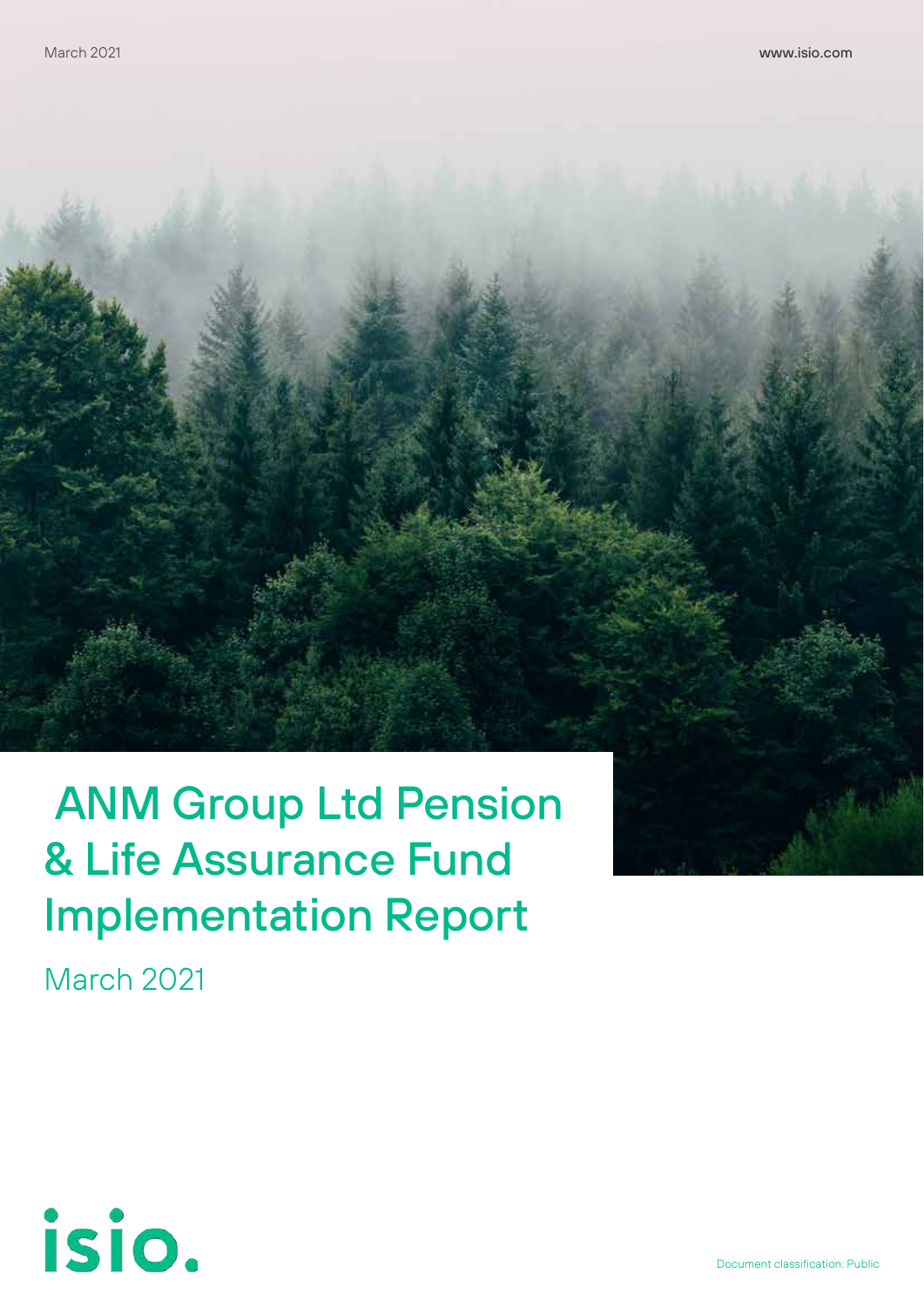# ANM Group Ltd Pension & Life Assurance Fund Implementation Report

March 2021

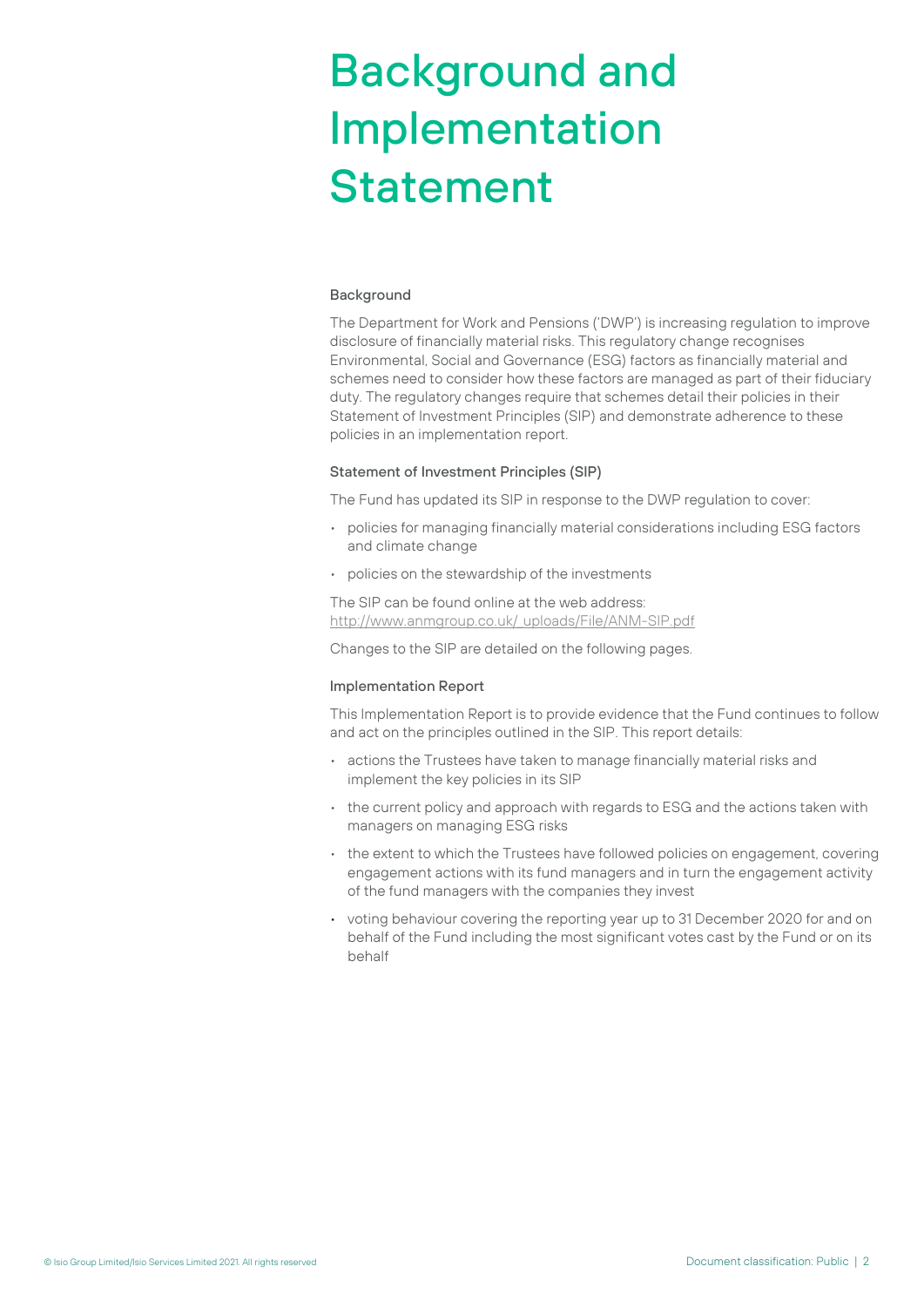# Background and Implementation Statement

### **Background**

The Department for Work and Pensions ('DWP') is increasing regulation to improve disclosure of financially material risks. This regulatory change recognises Environmental, Social and Governance (ESG) factors as financially material and schemes need to consider how these factors are managed as part of their fiduciary duty. The regulatory changes require that schemes detail their policies in their Statement of Investment Principles (SIP) and demonstrate adherence to these policies in an implementation report.

### Statement of Investment Principles (SIP)

The Fund has updated its SIP in response to the DWP regulation to cover:

- policies for managing financially material considerations including ESG factors and climate change
- policies on the stewardship of the investments

The SIP can be found online at the web address: http://www.anmgroup.co.uk/\_uploads/File/ANM-SIP.pdf

Changes to the SIP are detailed on the following pages.

#### Implementation Report

This Implementation Report is to provide evidence that the Fund continues to follow and act on the principles outlined in the SIP. This report details:

- actions the Trustees have taken to manage financially material risks and implement the key policies in its SIP
- the current policy and approach with regards to ESG and the actions taken with managers on managing ESG risks
- the extent to which the Trustees have followed policies on engagement, covering engagement actions with its fund managers and in turn the engagement activity of the fund managers with the companies they invest
- voting behaviour covering the reporting year up to 31 December 2020 for and on behalf of the Fund including the most significant votes cast by the Fund or on its behalf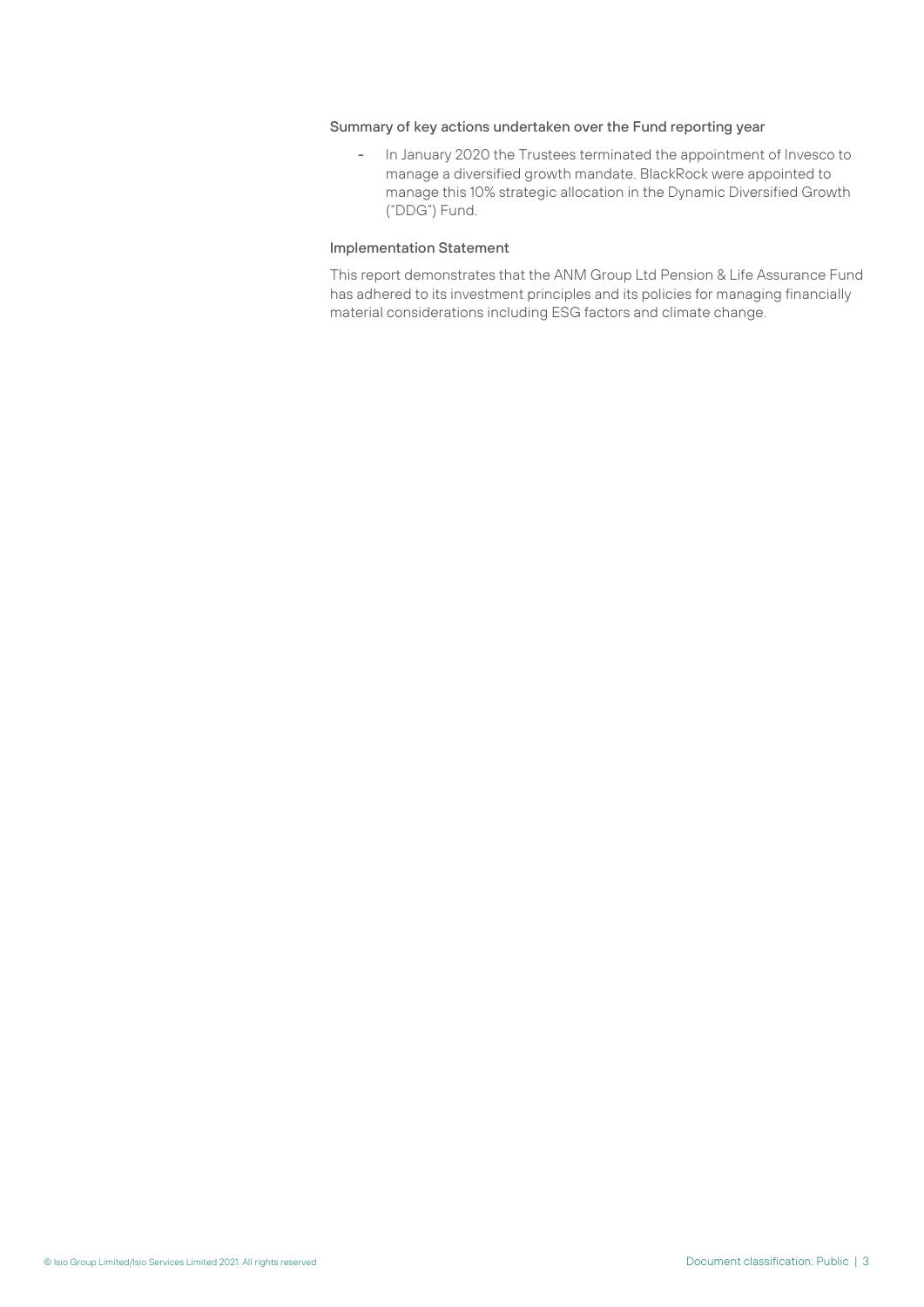### Summary of key actions undertaken over the Fund reporting year

- In January 2020 the Trustees terminated the appointment of Invesco to manage a diversified growth mandate. BlackRock were appointed to manage this 10% strategic allocation in the Dynamic Diversified Growth ("DDG") Fund.

### Implementation Statement

This report demonstrates that the ANM Group Ltd Pension & Life Assurance Fund has adhered to its investment principles and its policies for managing financially material considerations including ESG factors and climate change.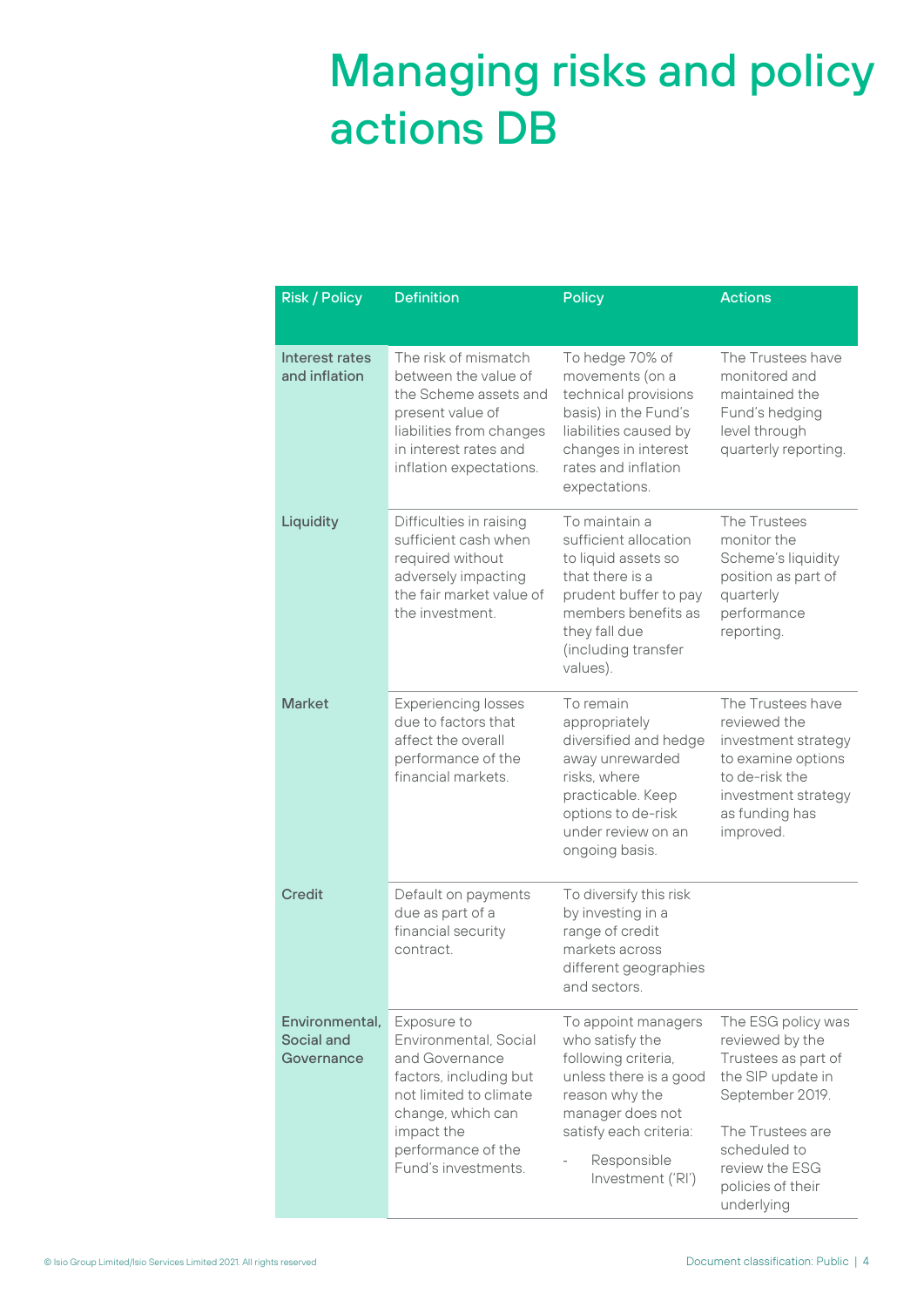# Managing risks and policy actions DB

| <b>Risk / Policy</b>                       | <b>Definition</b>                                                                                                                                                                          | <b>Policy</b>                                                                                                                                                                               | <b>Actions</b>                                                                                                                                                                                |
|--------------------------------------------|--------------------------------------------------------------------------------------------------------------------------------------------------------------------------------------------|---------------------------------------------------------------------------------------------------------------------------------------------------------------------------------------------|-----------------------------------------------------------------------------------------------------------------------------------------------------------------------------------------------|
| Interest rates<br>and inflation            | The risk of mismatch<br>between the value of<br>the Scheme assets and<br>present value of<br>liabilities from changes<br>in interest rates and<br>inflation expectations.                  | To hedge 70% of<br>movements (on a<br>technical provisions<br>basis) in the Fund's<br>liabilities caused by<br>changes in interest<br>rates and inflation<br>expectations.                  | The Trustees have<br>monitored and<br>maintained the<br>Fund's hedging<br>level through<br>quarterly reporting.                                                                               |
| Liquidity                                  | Difficulties in raising<br>sufficient cash when<br>required without<br>adversely impacting<br>the fair market value of<br>the investment.                                                  | To maintain a<br>sufficient allocation<br>to liquid assets so<br>that there is a<br>prudent buffer to pay<br>members benefits as<br>they fall due<br>(including transfer<br>values).        | The Trustees<br>monitor the<br>Scheme's liquidity<br>position as part of<br>quarterly<br>performance<br>reporting.                                                                            |
| <b>Market</b>                              | <b>Experiencing losses</b><br>due to factors that<br>affect the overall<br>performance of the<br>financial markets.                                                                        | To remain<br>appropriately<br>diversified and hedge<br>away unrewarded<br>risks, where<br>practicable. Keep<br>options to de-risk<br>under review on an<br>ongoing basis.                   | The Trustees have<br>reviewed the<br>investment strategy<br>to examine options<br>to de-risk the<br>investment strategy<br>as funding has<br>improved.                                        |
| Credit                                     | Default on payments<br>due as part of a<br>financial security<br>contract.                                                                                                                 | To diversify this risk<br>by investing in a<br>range of credit<br>markets across<br>different geographies<br>and sectors.                                                                   |                                                                                                                                                                                               |
| Environmental.<br>Social and<br>Governance | Exposure to<br>Environmental, Social<br>and Governance<br>factors, including but<br>not limited to climate<br>change, which can<br>impact the<br>performance of the<br>Fund's investments. | To appoint managers<br>who satisfy the<br>following criteria,<br>unless there is a good<br>reason why the<br>manager does not<br>satisfy each criteria:<br>Responsible<br>Investment ('RI') | The ESG policy was<br>reviewed by the<br>Trustees as part of<br>the SIP update in<br>September 2019.<br>The Trustees are<br>scheduled to<br>review the ESG<br>policies of their<br>underlying |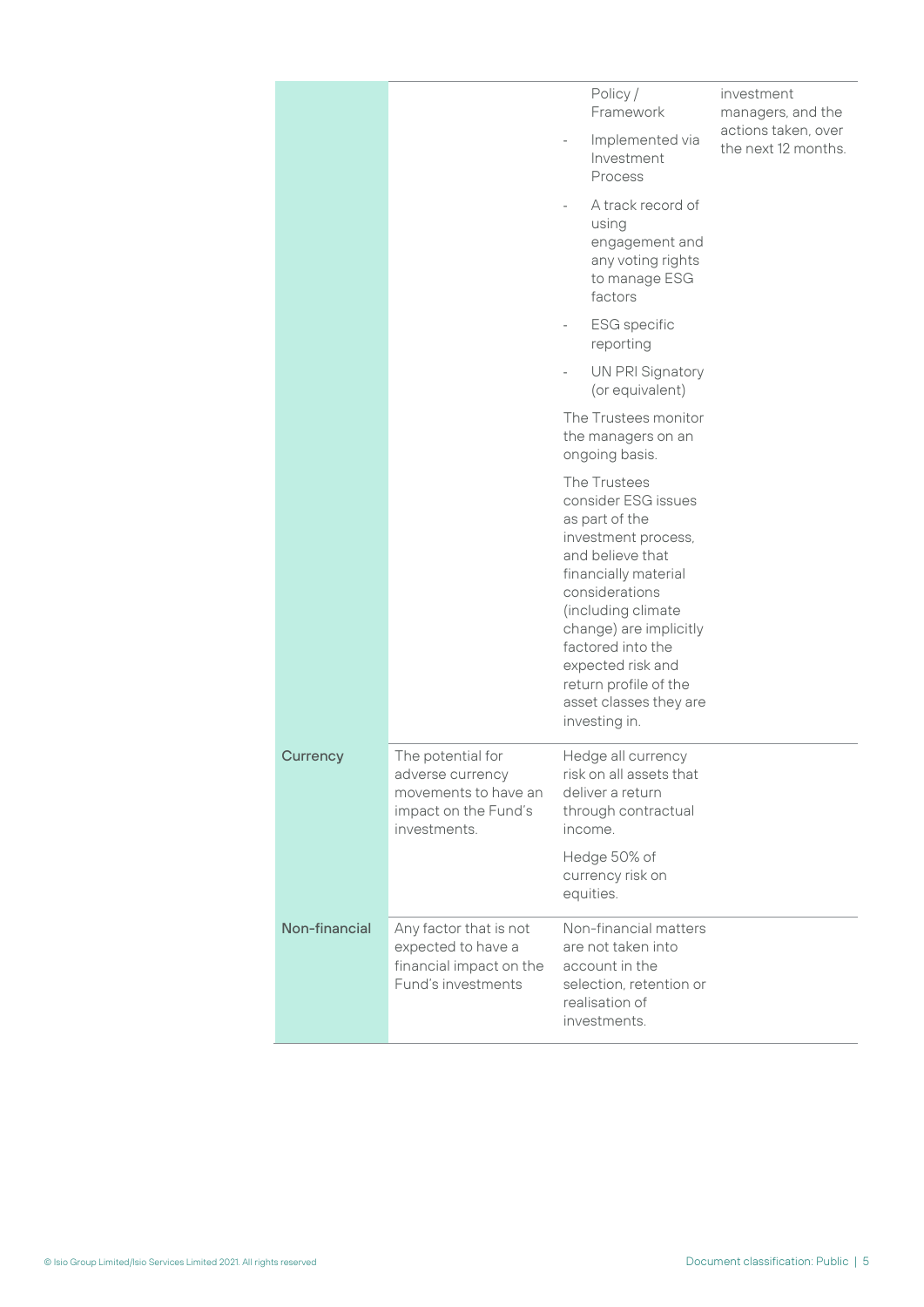|               |                                                                                                       |                                          | Policy/<br>Framework                                                                                                                                                                                                                                                                                     | investment<br>managers, and the<br>actions taken, over |
|---------------|-------------------------------------------------------------------------------------------------------|------------------------------------------|----------------------------------------------------------------------------------------------------------------------------------------------------------------------------------------------------------------------------------------------------------------------------------------------------------|--------------------------------------------------------|
|               |                                                                                                       | Implemented via<br>Investment<br>Process |                                                                                                                                                                                                                                                                                                          | the next 12 months.                                    |
|               |                                                                                                       |                                          | A track record of<br>using<br>engagement and<br>any voting rights<br>to manage ESG<br>factors                                                                                                                                                                                                            |                                                        |
|               |                                                                                                       |                                          | <b>ESG</b> specific<br>reporting                                                                                                                                                                                                                                                                         |                                                        |
|               |                                                                                                       |                                          | UN PRI Signatory<br>(or equivalent)                                                                                                                                                                                                                                                                      |                                                        |
|               |                                                                                                       |                                          | The Trustees monitor<br>the managers on an<br>ongoing basis.                                                                                                                                                                                                                                             |                                                        |
|               |                                                                                                       |                                          | The Trustees<br>consider ESG issues<br>as part of the<br>investment process,<br>and believe that<br>financially material<br>considerations<br>(including climate<br>change) are implicitly<br>factored into the<br>expected risk and<br>return profile of the<br>asset classes they are<br>investing in. |                                                        |
| Currency      | The potential for<br>adverse currency<br>movements to have an<br>impact on the Fund's<br>investments. |                                          | Hedge all currency<br>risk on all assets that<br>deliver a return<br>through contractual<br>income.                                                                                                                                                                                                      |                                                        |
|               |                                                                                                       |                                          | Hedge 50% of<br>currency risk on<br>equities.                                                                                                                                                                                                                                                            |                                                        |
| Non-financial | Any factor that is not<br>expected to have a<br>financial impact on the<br>Fund's investments         |                                          | Non-financial matters<br>are not taken into<br>account in the<br>selection, retention or<br>realisation of<br>investments.                                                                                                                                                                               |                                                        |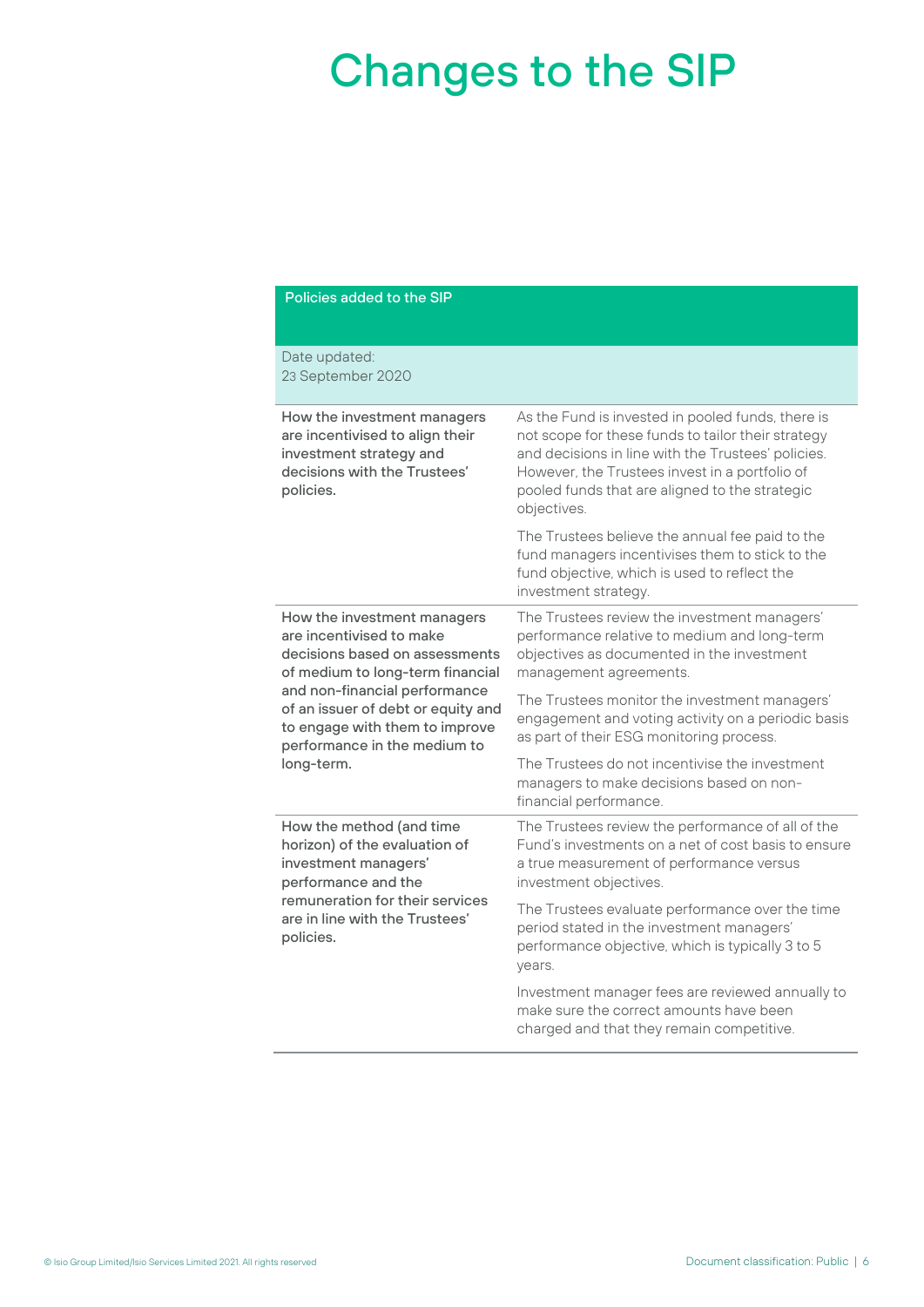# Changes to the SIP

## Policies added to the SIP

### Date updated: 23 September 2020

 $\overline{a}$ 

| How the investment managers<br>are incentivised to align their<br>investment strategy and<br>decisions with the Trustees'<br>policies. | As the Fund is invested in pooled funds, there is<br>not scope for these funds to tailor their strategy<br>and decisions in line with the Trustees' policies.<br>However, the Trustees invest in a portfolio of<br>pooled funds that are aligned to the strategic<br>objectives. |
|----------------------------------------------------------------------------------------------------------------------------------------|----------------------------------------------------------------------------------------------------------------------------------------------------------------------------------------------------------------------------------------------------------------------------------|
|                                                                                                                                        | The Trustees believe the annual fee paid to the<br>fund managers incentivises them to stick to the<br>fund objective, which is used to reflect the<br>investment strategy.                                                                                                       |
| How the investment managers<br>are incentivised to make<br>decisions based on assessments<br>of medium to long-term financial          | The Trustees review the investment managers'<br>performance relative to medium and long-term<br>objectives as documented in the investment<br>management agreements.                                                                                                             |
| and non-financial performance<br>of an issuer of debt or equity and<br>to engage with them to improve<br>performance in the medium to  | The Trustees monitor the investment managers'<br>engagement and voting activity on a periodic basis<br>as part of their ESG monitoring process.                                                                                                                                  |
| long-term.                                                                                                                             | The Trustees do not incentivise the investment<br>managers to make decisions based on non-<br>financial performance.                                                                                                                                                             |
| How the method (and time<br>horizon) of the evaluation of<br>investment managers'<br>performance and the                               | The Trustees review the performance of all of the<br>Fund's investments on a net of cost basis to ensure<br>a true measurement of performance versus<br>investment objectives.                                                                                                   |
| remuneration for their services<br>are in line with the Trustees'<br>policies.                                                         | The Trustees evaluate performance over the time<br>period stated in the investment managers'<br>performance objective, which is typically 3 to 5<br>years.                                                                                                                       |
|                                                                                                                                        | Investment manager fees are reviewed annually to<br>make sure the correct amounts have been<br>charged and that they remain competitive.                                                                                                                                         |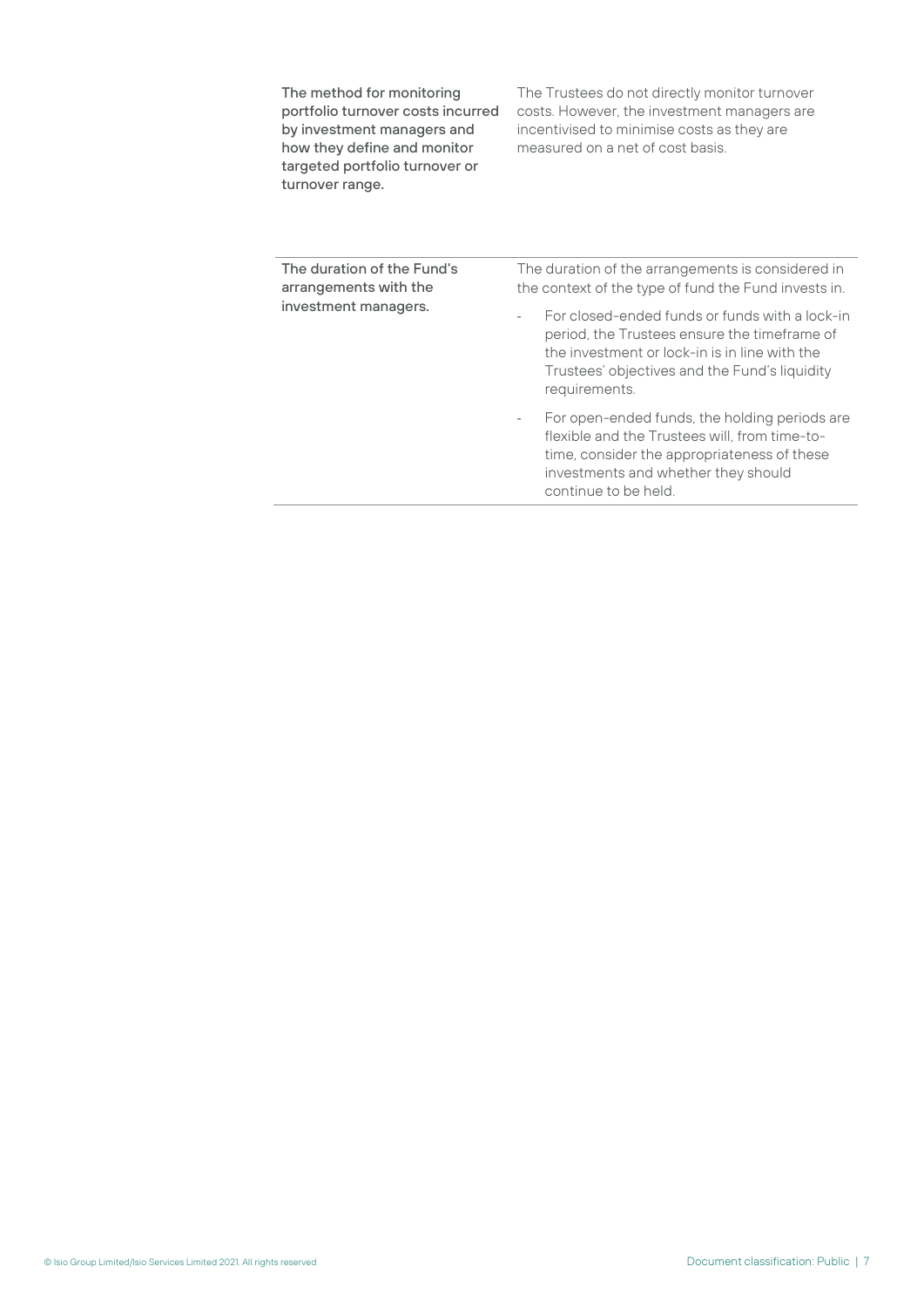The method for monitoring by investment managers and how they define and monitor targeted portfolio turnover or turnover range.

portfolio turnover costs incurred costs. However, the investment managers are The Trustees do not directly monitor turnover incentivised to minimise costs as they are measured on a net of cost basis.

| The duration of the Fund's<br>arrangements with the<br>investment managers. | The duration of the arrangements is considered in<br>the context of the type of fund the Fund invests in.                                                                                                                                     |
|-----------------------------------------------------------------------------|-----------------------------------------------------------------------------------------------------------------------------------------------------------------------------------------------------------------------------------------------|
|                                                                             | For closed-ended funds or funds with a lock-in<br>$\overline{\phantom{a}}$<br>period, the Trustees ensure the timeframe of<br>the investment or lock-in is in line with the<br>Trustees' objectives and the Fund's liquidity<br>requirements. |
|                                                                             | For open-ended funds, the holding periods are<br>$\overline{\phantom{a}}$<br>flexible and the Trustees will, from time-to-<br>time, consider the appropriateness of these<br>investments and whether they should<br>continue to be held.      |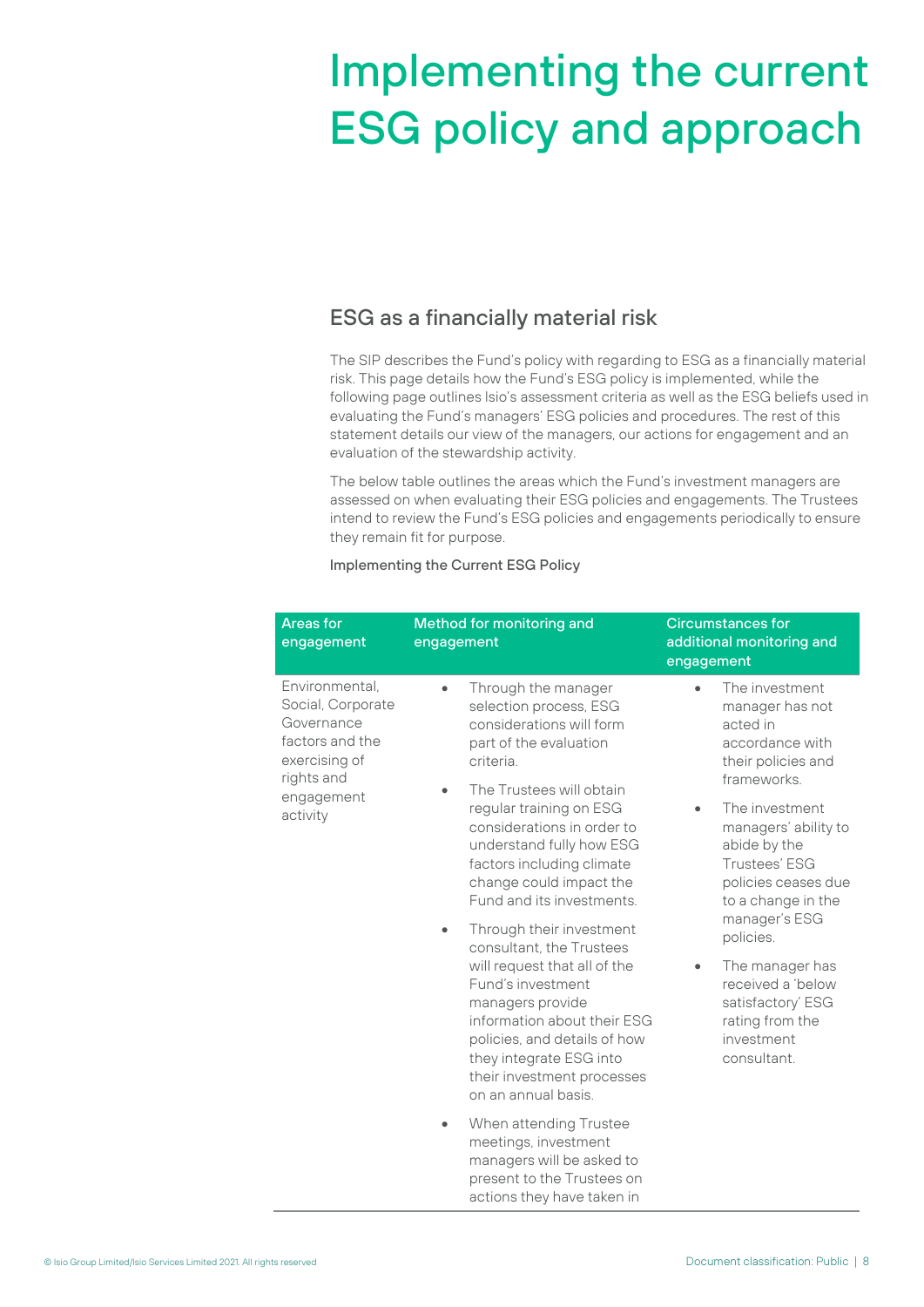# Implementing the current ESG policy and approach

# ESG as a financially material risk

The SIP describes the Fund's policy with regarding to ESG as a financially material risk. This page details how the Fund's ESG policy is implemented, while the following page outlines Isio's assessment criteria as well as the ESG beliefs used in evaluating the Fund's managers' ESG policies and procedures. The rest of this statement details our view of the managers, our actions for engagement and an evaluation of the stewardship activity.

The below table outlines the areas which the Fund's investment managers are assessed on when evaluating their ESG policies and engagements. The Trustees intend to review the Fund's ESG policies and engagements periodically to ensure they remain fit for purpose.

| <b>Areas for</b><br>engagement                                                                                                | Method for monitoring and<br>engagement                                                                                                                                                                                                                                                                                                                                                                                                                                                                                                                                                                                                       | <b>Circumstances for</b><br>additional monitoring and<br>engagement                                                                                                                                                                                                                                                                                                                                |
|-------------------------------------------------------------------------------------------------------------------------------|-----------------------------------------------------------------------------------------------------------------------------------------------------------------------------------------------------------------------------------------------------------------------------------------------------------------------------------------------------------------------------------------------------------------------------------------------------------------------------------------------------------------------------------------------------------------------------------------------------------------------------------------------|----------------------------------------------------------------------------------------------------------------------------------------------------------------------------------------------------------------------------------------------------------------------------------------------------------------------------------------------------------------------------------------------------|
| Environmental.<br>Social, Corporate<br>Governance<br>factors and the<br>exercising of<br>rights and<br>engagement<br>activity | Through the manager<br>$\bullet$<br>selection process, ESG<br>considerations will form<br>part of the evaluation<br>criteria.<br>The Trustees will obtain<br>$\bullet$<br>regular training on ESG<br>considerations in order to<br>understand fully how ESG<br>factors including climate<br>change could impact the<br>Fund and its investments.<br>Through their investment<br>$\bullet$<br>consultant, the Trustees<br>will request that all of the<br>Fund's investment<br>managers provide<br>information about their ESG<br>policies, and details of how<br>they integrate ESG into<br>their investment processes<br>on an annual basis. | The investment<br>$\bullet$<br>manager has not<br>acted in<br>accordance with<br>their policies and<br>frameworks.<br>The investment<br>$\bullet$<br>managers' ability to<br>abide by the<br>Trustees' ESG<br>policies ceases due<br>to a change in the<br>manager's ESG<br>policies.<br>The manager has<br>received a 'below<br>satisfactory' ESG<br>rating from the<br>investment<br>consultant. |
|                                                                                                                               | When attending Trustee<br>$\bullet$<br>meetings, investment<br>managers will be asked to<br>present to the Trustees on                                                                                                                                                                                                                                                                                                                                                                                                                                                                                                                        |                                                                                                                                                                                                                                                                                                                                                                                                    |

actions they have taken in

#### Implementing the Current ESG Policy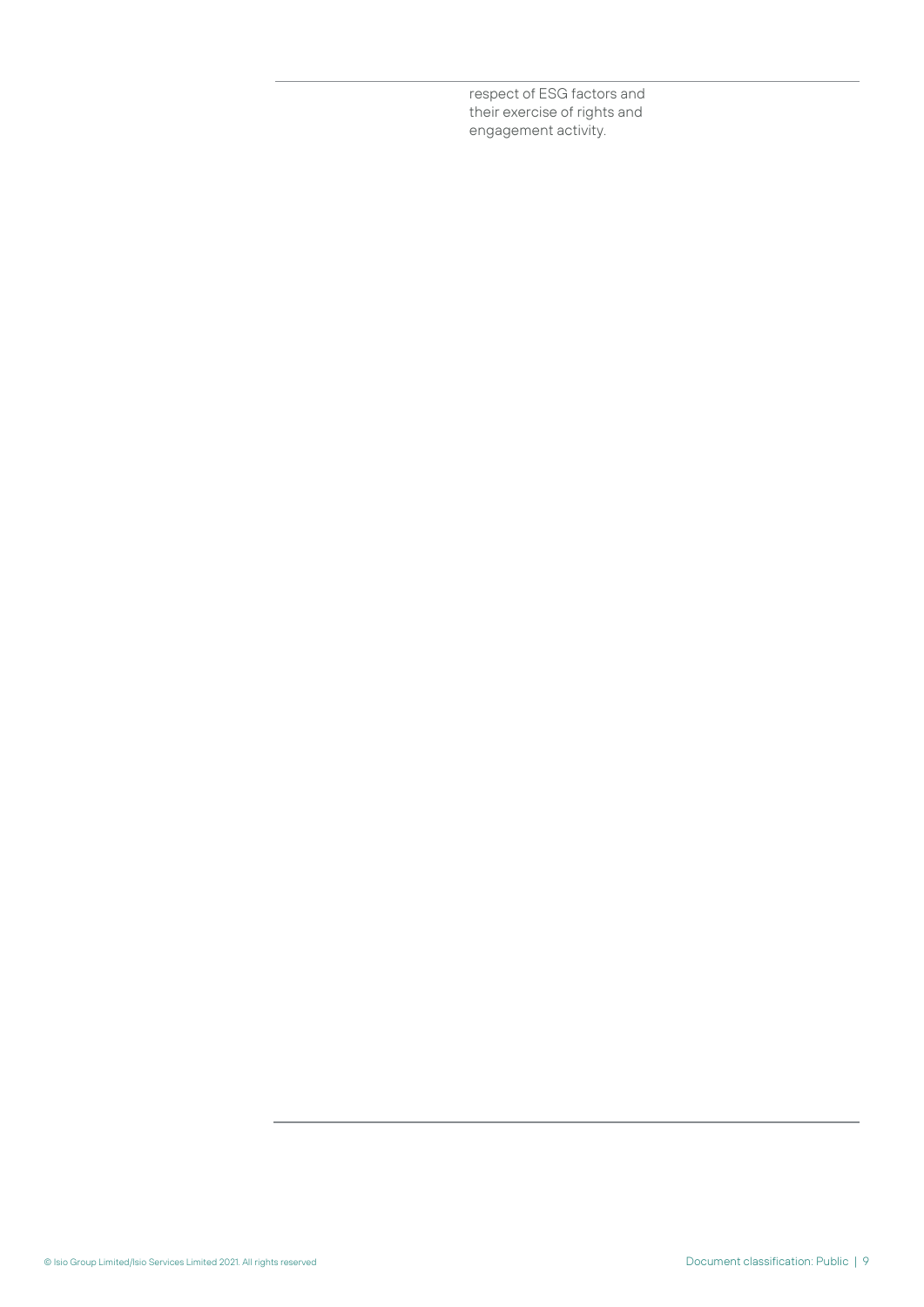respect of ESG factors and their exercise of rights and engagement activity.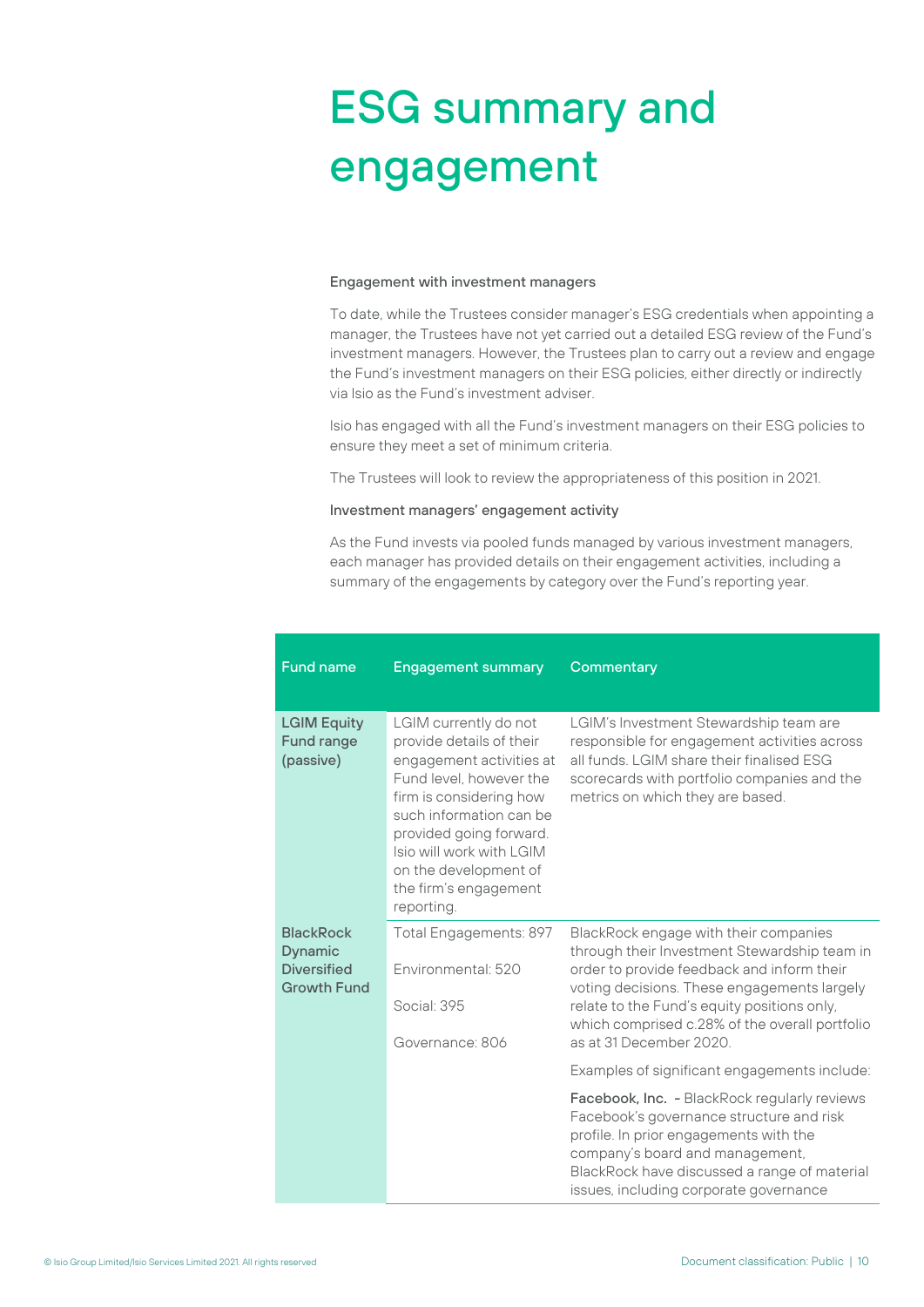# ESG summary and engagement

### Engagement with investment managers

To date, while the Trustees consider manager's ESG credentials when appointing a manager, the Trustees have not yet carried out a detailed ESG review of the Fund's investment managers. However, the Trustees plan to carry out a review and engage the Fund's investment managers on their ESG policies, either directly or indirectly via Isio as the Fund's investment adviser.

Isio has engaged with all the Fund's investment managers on their ESG policies to ensure they meet a set of minimum criteria.

The Trustees will look to review the appropriateness of this position in 2021.

### Investment managers' engagement activity

As the Fund invests via pooled funds managed by various investment managers, each manager has provided details on their engagement activities, including a summary of the engagements by category over the Fund's reporting year.

| <b>Fund name</b>                                                        | <b>Engagement summary</b>                                                                                                                                                                                                                                                             | Commentary                                                                                                                                                                                                                                                                                                     |
|-------------------------------------------------------------------------|---------------------------------------------------------------------------------------------------------------------------------------------------------------------------------------------------------------------------------------------------------------------------------------|----------------------------------------------------------------------------------------------------------------------------------------------------------------------------------------------------------------------------------------------------------------------------------------------------------------|
| <b>LGIM Equity</b><br><b>Fund range</b><br>(passive)                    | LGIM currently do not<br>provide details of their<br>engagement activities at<br>Fund level, however the<br>firm is considering how<br>such information can be<br>provided going forward.<br>Isio will work with LGIM<br>on the development of<br>the firm's engagement<br>reporting. | LGIM's Investment Stewardship team are<br>responsible for engagement activities across<br>all funds. LGIM share their finalised ESG<br>scorecards with portfolio companies and the<br>metrics on which they are based.                                                                                         |
| <b>BlackRock</b><br>Dynamic<br><b>Diversified</b><br><b>Growth Fund</b> | <b>Total Engagements: 897</b><br>Environmental: 520<br>Social: 395<br>Governance: 806                                                                                                                                                                                                 | BlackRock engage with their companies<br>through their Investment Stewardship team in<br>order to provide feedback and inform their<br>voting decisions. These engagements largely<br>relate to the Fund's equity positions only,<br>which comprised c.28% of the overall portfolio<br>as at 31 December 2020. |
|                                                                         |                                                                                                                                                                                                                                                                                       | Examples of significant engagements include:                                                                                                                                                                                                                                                                   |
|                                                                         |                                                                                                                                                                                                                                                                                       | Facebook, Inc. - BlackRock regularly reviews<br>Facebook's governance structure and risk<br>profile. In prior engagements with the<br>company's board and management,<br>BlackRock have discussed a range of material<br>issues, including corporate governance                                                |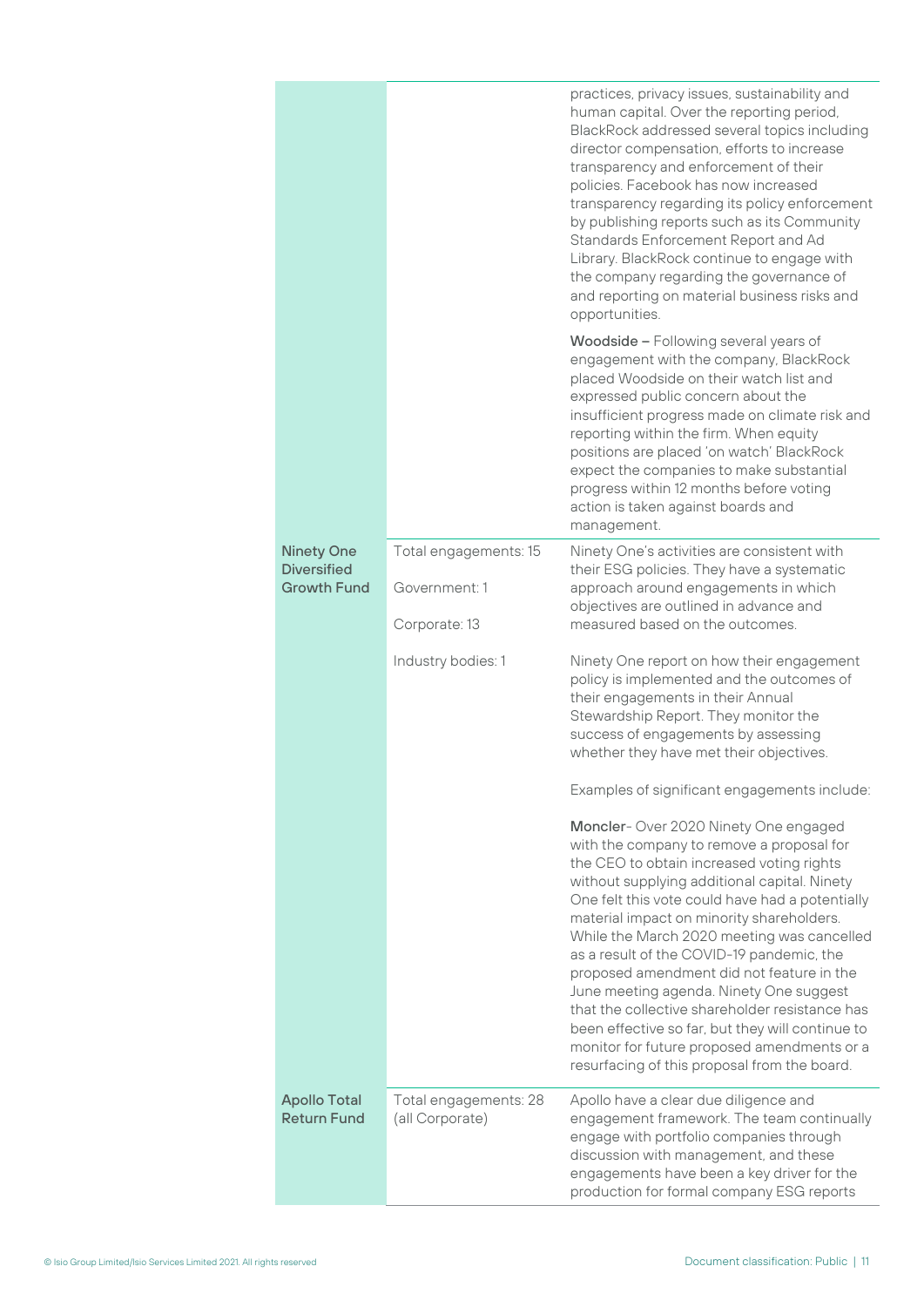|                                           |                                          | practices, privacy issues, sustainability and<br>human capital. Over the reporting period,<br>BlackRock addressed several topics including<br>director compensation, efforts to increase<br>transparency and enforcement of their<br>policies. Facebook has now increased<br>transparency regarding its policy enforcement<br>by publishing reports such as its Community<br>Standards Enforcement Report and Ad<br>Library. BlackRock continue to engage with<br>the company regarding the governance of<br>and reporting on material business risks and<br>opportunities.                                                                                            |
|-------------------------------------------|------------------------------------------|------------------------------------------------------------------------------------------------------------------------------------------------------------------------------------------------------------------------------------------------------------------------------------------------------------------------------------------------------------------------------------------------------------------------------------------------------------------------------------------------------------------------------------------------------------------------------------------------------------------------------------------------------------------------|
|                                           |                                          | Woodside - Following several years of<br>engagement with the company, BlackRock<br>placed Woodside on their watch list and<br>expressed public concern about the<br>insufficient progress made on climate risk and<br>reporting within the firm. When equity<br>positions are placed 'on watch' BlackRock<br>expect the companies to make substantial<br>progress within 12 months before voting<br>action is taken against boards and<br>management.                                                                                                                                                                                                                  |
| <b>Ninety One</b><br><b>Diversified</b>   | Total engagements: 15                    | Ninety One's activities are consistent with<br>their ESG policies. They have a systematic                                                                                                                                                                                                                                                                                                                                                                                                                                                                                                                                                                              |
| <b>Growth Fund</b>                        | Government: 1<br>Corporate: 13           | approach around engagements in which<br>objectives are outlined in advance and                                                                                                                                                                                                                                                                                                                                                                                                                                                                                                                                                                                         |
|                                           |                                          | measured based on the outcomes.                                                                                                                                                                                                                                                                                                                                                                                                                                                                                                                                                                                                                                        |
|                                           | Industry bodies: 1                       | Ninety One report on how their engagement<br>policy is implemented and the outcomes of<br>their engagements in their Annual<br>Stewardship Report. They monitor the<br>success of engagements by assessing<br>whether they have met their objectives.                                                                                                                                                                                                                                                                                                                                                                                                                  |
|                                           |                                          | Examples of significant engagements include:                                                                                                                                                                                                                                                                                                                                                                                                                                                                                                                                                                                                                           |
|                                           |                                          | Moncler-Over 2020 Ninety One engaged<br>with the company to remove a proposal for<br>the CEO to obtain increased voting rights<br>without supplying additional capital. Ninety<br>One felt this vote could have had a potentially<br>material impact on minority shareholders.<br>While the March 2020 meeting was cancelled<br>as a result of the COVID-19 pandemic, the<br>proposed amendment did not feature in the<br>June meeting agenda. Ninety One suggest<br>that the collective shareholder resistance has<br>been effective so far, but they will continue to<br>monitor for future proposed amendments or a<br>resurfacing of this proposal from the board. |
| <b>Apollo Total</b><br><b>Return Fund</b> | Total engagements: 28<br>(all Corporate) | Apollo have a clear due diligence and<br>engagement framework. The team continually<br>engage with portfolio companies through<br>discussion with management, and these<br>engagements have been a key driver for the<br>production for formal company ESG reports                                                                                                                                                                                                                                                                                                                                                                                                     |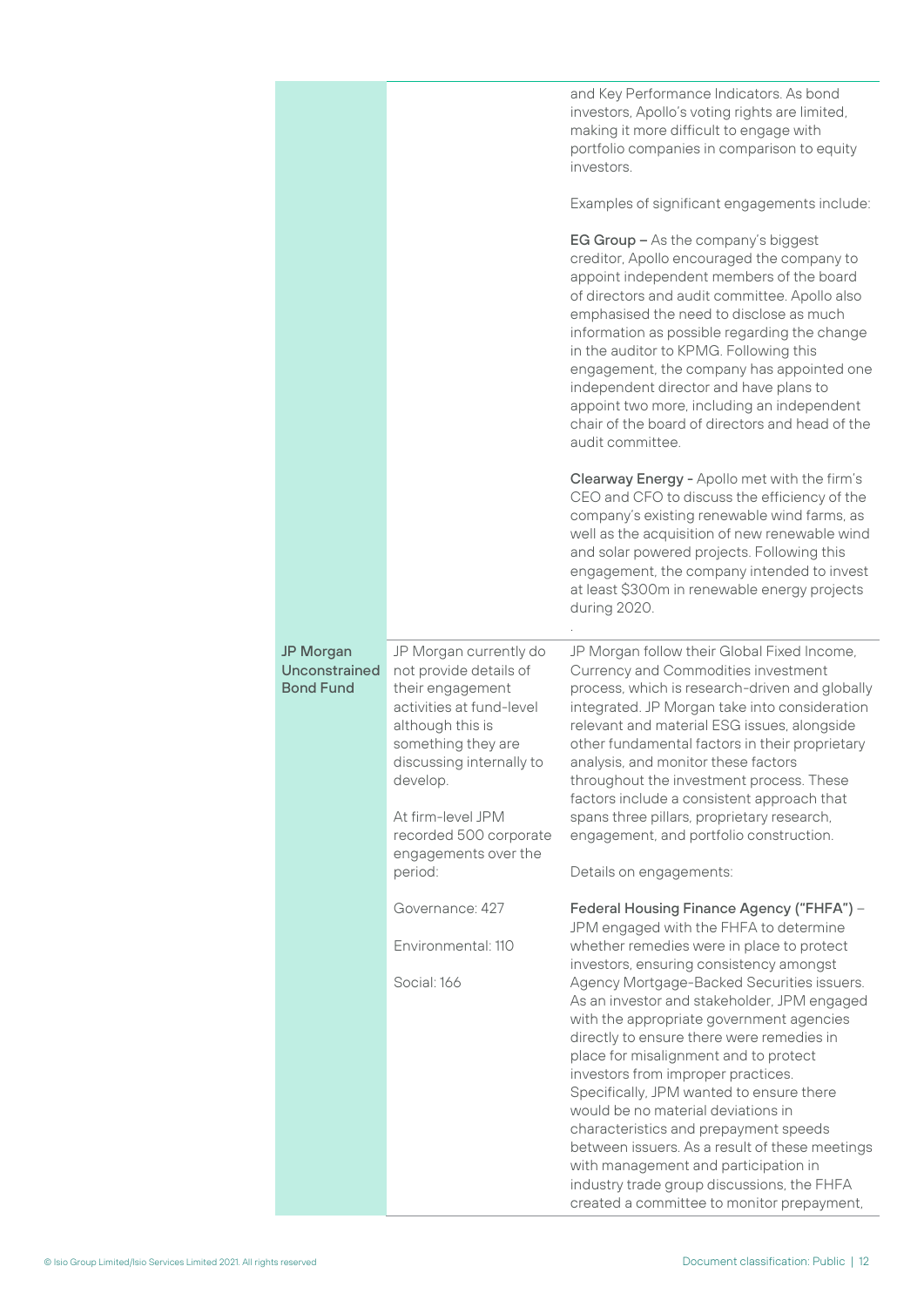|                                                       |                                                                                                                                                                                                                                                                                                                              | and Key Performance Indicators. As bond<br>investors, Apollo's voting rights are limited,<br>making it more difficult to engage with<br>portfolio companies in comparison to equity<br>investors.<br>Examples of significant engagements include:<br>EG Group $-$ As the company's biggest<br>creditor, Apollo encouraged the company to<br>appoint independent members of the board<br>of directors and audit committee. Apollo also<br>emphasised the need to disclose as much<br>information as possible regarding the change<br>in the auditor to KPMG. Following this<br>engagement, the company has appointed one<br>independent director and have plans to<br>appoint two more, including an independent<br>chair of the board of directors and head of the<br>audit committee.<br>Clearway Energy - Apollo met with the firm's<br>CEO and CFO to discuss the efficiency of the<br>company's existing renewable wind farms, as<br>well as the acquisition of new renewable wind<br>and solar powered projects. Following this<br>engagement, the company intended to invest<br>at least \$300m in renewable energy projects<br>during 2020.                                                                                                                                                               |
|-------------------------------------------------------|------------------------------------------------------------------------------------------------------------------------------------------------------------------------------------------------------------------------------------------------------------------------------------------------------------------------------|------------------------------------------------------------------------------------------------------------------------------------------------------------------------------------------------------------------------------------------------------------------------------------------------------------------------------------------------------------------------------------------------------------------------------------------------------------------------------------------------------------------------------------------------------------------------------------------------------------------------------------------------------------------------------------------------------------------------------------------------------------------------------------------------------------------------------------------------------------------------------------------------------------------------------------------------------------------------------------------------------------------------------------------------------------------------------------------------------------------------------------------------------------------------------------------------------------------------------------------------------------------------------------------------------------------|
| <b>JP Morgan</b><br>Unconstrained<br><b>Bond Fund</b> | JP Morgan currently do<br>not provide details of<br>their engagement<br>activities at fund-level<br>although this is<br>something they are<br>discussing internally to<br>develop.<br>At firm-level JPM<br>recorded 500 corporate<br>engagements over the<br>period:<br>Governance: 427<br>Environmental: 110<br>Social: 166 | JP Morgan follow their Global Fixed Income,<br>Currency and Commodities investment<br>process, which is research-driven and globally<br>integrated. JP Morgan take into consideration<br>relevant and material ESG issues, alongside<br>other fundamental factors in their proprietary<br>analysis, and monitor these factors<br>throughout the investment process. These<br>factors include a consistent approach that<br>spans three pillars, proprietary research,<br>engagement, and portfolio construction.<br>Details on engagements:<br>Federal Housing Finance Agency ("FHFA") -<br>JPM engaged with the FHFA to determine<br>whether remedies were in place to protect<br>investors, ensuring consistency amongst<br>Agency Mortgage-Backed Securities issuers.<br>As an investor and stakeholder, JPM engaged<br>with the appropriate government agencies<br>directly to ensure there were remedies in<br>place for misalignment and to protect<br>investors from improper practices.<br>Specifically, JPM wanted to ensure there<br>would be no material deviations in<br>characteristics and prepayment speeds<br>between issuers. As a result of these meetings<br>with management and participation in<br>industry trade group discussions, the FHFA<br>created a committee to monitor prepayment, |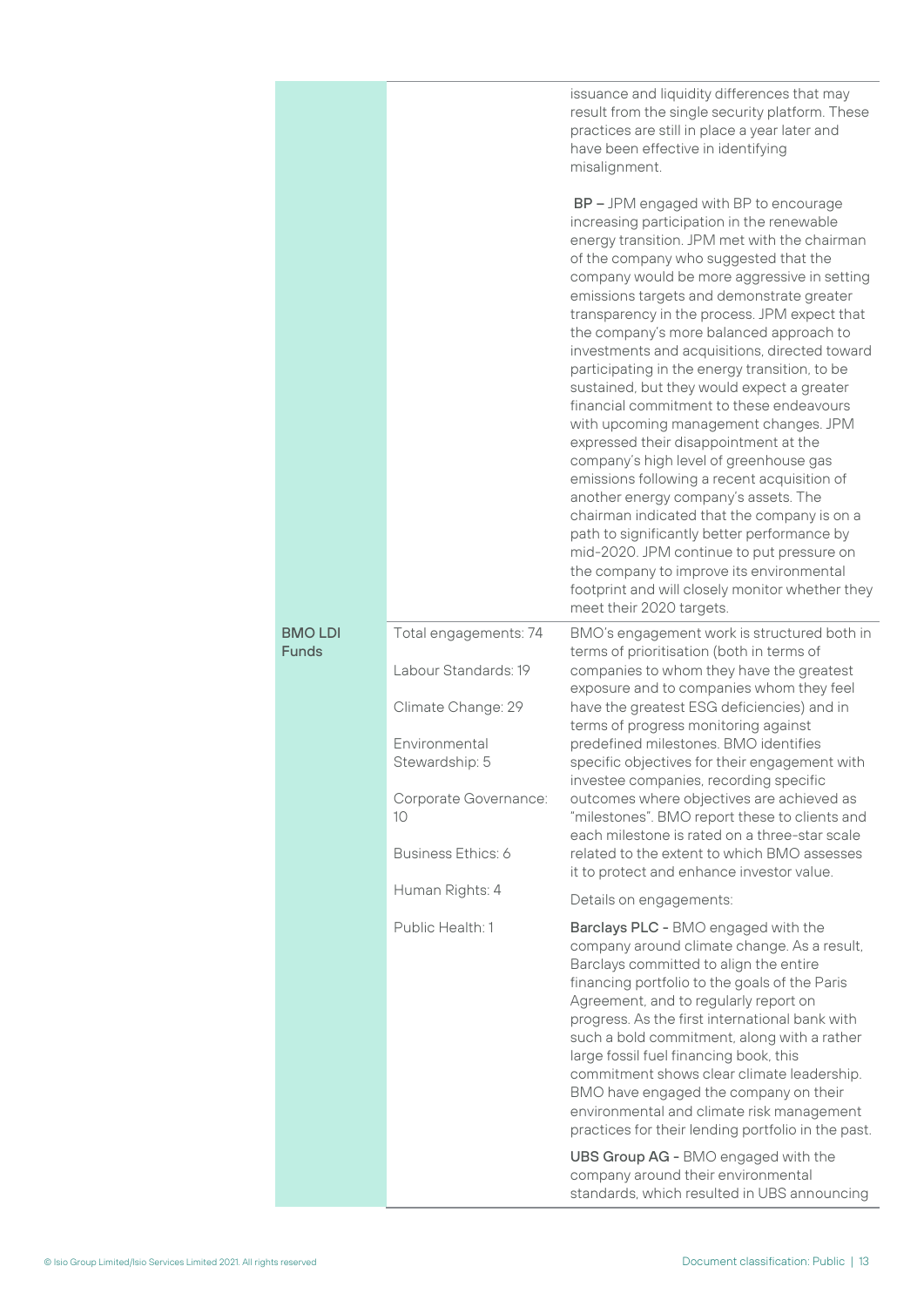|                               |                                               | issuance and liquidity differences that may<br>result from the single security platform. These<br>practices are still in place a year later and<br>have been effective in identifying<br>misalignment.                                                                                                                                                                                                                                                                                                                                                                                                                                                                                                                                                                                                                                                                                                                                                                                                                                                  |
|-------------------------------|-----------------------------------------------|---------------------------------------------------------------------------------------------------------------------------------------------------------------------------------------------------------------------------------------------------------------------------------------------------------------------------------------------------------------------------------------------------------------------------------------------------------------------------------------------------------------------------------------------------------------------------------------------------------------------------------------------------------------------------------------------------------------------------------------------------------------------------------------------------------------------------------------------------------------------------------------------------------------------------------------------------------------------------------------------------------------------------------------------------------|
|                               |                                               | BP - JPM engaged with BP to encourage<br>increasing participation in the renewable<br>energy transition. JPM met with the chairman<br>of the company who suggested that the<br>company would be more aggressive in setting<br>emissions targets and demonstrate greater<br>transparency in the process. JPM expect that<br>the company's more balanced approach to<br>investments and acquisitions, directed toward<br>participating in the energy transition, to be<br>sustained, but they would expect a greater<br>financial commitment to these endeavours<br>with upcoming management changes. JPM<br>expressed their disappointment at the<br>company's high level of greenhouse gas<br>emissions following a recent acquisition of<br>another energy company's assets. The<br>chairman indicated that the company is on a<br>path to significantly better performance by<br>mid-2020. JPM continue to put pressure on<br>the company to improve its environmental<br>footprint and will closely monitor whether they<br>meet their 2020 targets. |
| <b>BMOLDI</b><br><b>Funds</b> | Total engagements: 74<br>Labour Standards: 19 | BMO's engagement work is structured both in<br>terms of prioritisation (both in terms of<br>companies to whom they have the greatest                                                                                                                                                                                                                                                                                                                                                                                                                                                                                                                                                                                                                                                                                                                                                                                                                                                                                                                    |
|                               | Climate Change: 29                            | exposure and to companies whom they feel<br>have the greatest ESG deficiencies) and in<br>terms of progress monitoring against                                                                                                                                                                                                                                                                                                                                                                                                                                                                                                                                                                                                                                                                                                                                                                                                                                                                                                                          |
|                               | Environmental<br>Stewardship: 5               | predefined milestones. BMO identifies<br>specific objectives for their engagement with                                                                                                                                                                                                                                                                                                                                                                                                                                                                                                                                                                                                                                                                                                                                                                                                                                                                                                                                                                  |
|                               | Corporate Governance:<br>10                   | investee companies, recording specific<br>outcomes where objectives are achieved as<br>"milestones". BMO report these to clients and<br>each milestone is rated on a three-star scale                                                                                                                                                                                                                                                                                                                                                                                                                                                                                                                                                                                                                                                                                                                                                                                                                                                                   |
|                               | Business Ethics: 6                            | related to the extent to which BMO assesses<br>it to protect and enhance investor value.                                                                                                                                                                                                                                                                                                                                                                                                                                                                                                                                                                                                                                                                                                                                                                                                                                                                                                                                                                |
|                               | Human Rights: 4                               | Details on engagements:                                                                                                                                                                                                                                                                                                                                                                                                                                                                                                                                                                                                                                                                                                                                                                                                                                                                                                                                                                                                                                 |
|                               | Public Health: 1                              | Barclays PLC - BMO engaged with the<br>company around climate change. As a result,<br>Barclays committed to align the entire<br>financing portfolio to the goals of the Paris<br>Agreement, and to regularly report on<br>progress. As the first international bank with<br>such a bold commitment, along with a rather<br>large fossil fuel financing book, this<br>commitment shows clear climate leadership.<br>BMO have engaged the company on their<br>environmental and climate risk management<br>practices for their lending portfolio in the past.                                                                                                                                                                                                                                                                                                                                                                                                                                                                                             |
|                               |                                               | <b>UBS Group AG - BMO engaged with the</b><br>company around their environmental<br>standards, which resulted in UBS announcing                                                                                                                                                                                                                                                                                                                                                                                                                                                                                                                                                                                                                                                                                                                                                                                                                                                                                                                         |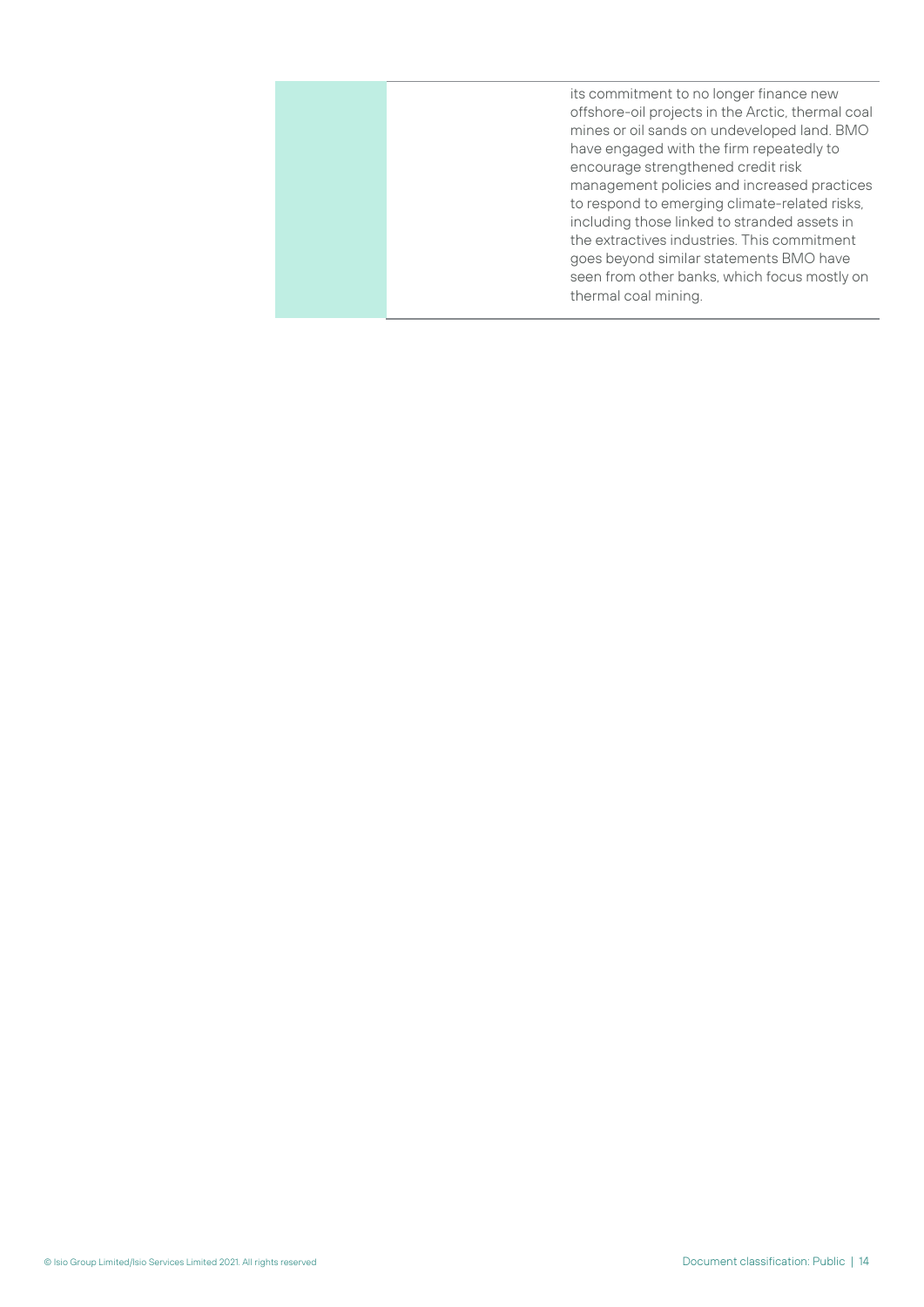its commitment to no longer finance new offshore-oil projects in the Arctic, thermal coal mines or oil sands on undeveloped land. BMO have engaged with the firm repeatedly to encourage strengthened credit risk management policies and increased practices to respond to emerging climate-related risks, including those linked to stranded assets in the extractives industries. This commitment goes beyond similar statements BMO have seen from other banks, which focus mostly on thermal coal mining.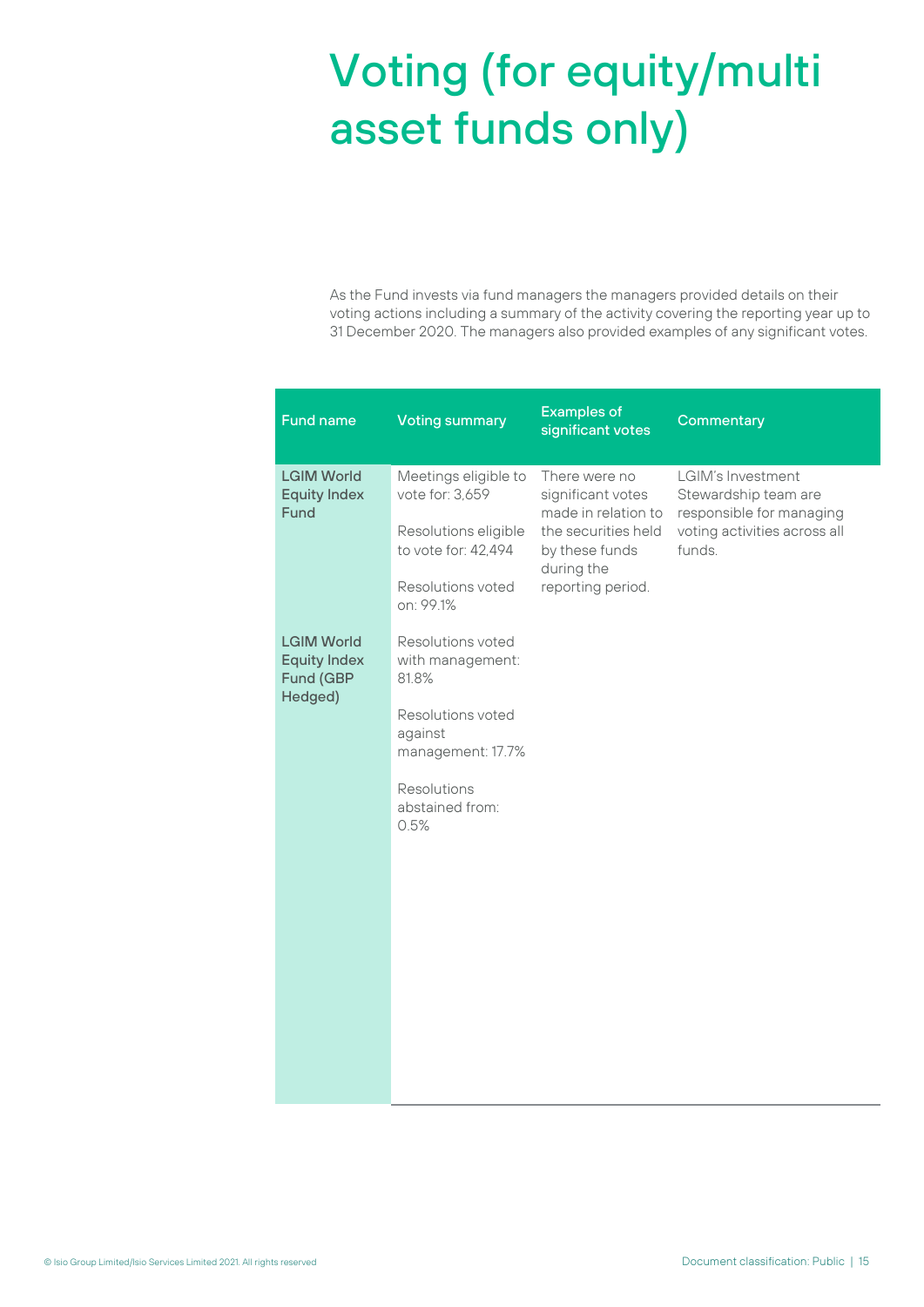# Voting (for equity/multi asset funds only)

As the Fund invests via fund managers the managers provided details on their voting actions including a summary of the activity covering the reporting year up to 31 December 2020. The managers also provided examples of any significant votes.

| <b>Fund name</b>                                                 | <b>Voting summary</b>                             | <b>Examples of</b><br>significant votes                                                                                               | Commentary                                                            |
|------------------------------------------------------------------|---------------------------------------------------|---------------------------------------------------------------------------------------------------------------------------------------|-----------------------------------------------------------------------|
| <b>LGIM World</b><br><b>Equity Index</b><br>Fund                 | Meetings eligible to<br>vote for: 3,659           | There were no<br>significant votes<br>made in relation to<br>the securities held<br>by these funds<br>during the<br>reporting period. | LGIM's Investment<br>Stewardship team are<br>responsible for managing |
|                                                                  | Resolutions eligible<br>to vote for: 42,494       |                                                                                                                                       | voting activities across all<br>funds.                                |
|                                                                  | Resolutions voted<br>on: 99.1%                    |                                                                                                                                       |                                                                       |
| <b>LGIM World</b><br><b>Equity Index</b><br>Fund (GBP<br>Hedged) | Resolutions voted<br>with management:<br>81.8%    |                                                                                                                                       |                                                                       |
|                                                                  | Resolutions voted<br>against<br>management: 17.7% |                                                                                                                                       |                                                                       |
|                                                                  | Resolutions<br>abstained from:<br>0.5%            |                                                                                                                                       |                                                                       |
|                                                                  |                                                   |                                                                                                                                       |                                                                       |
|                                                                  |                                                   |                                                                                                                                       |                                                                       |
|                                                                  |                                                   |                                                                                                                                       |                                                                       |
|                                                                  |                                                   |                                                                                                                                       |                                                                       |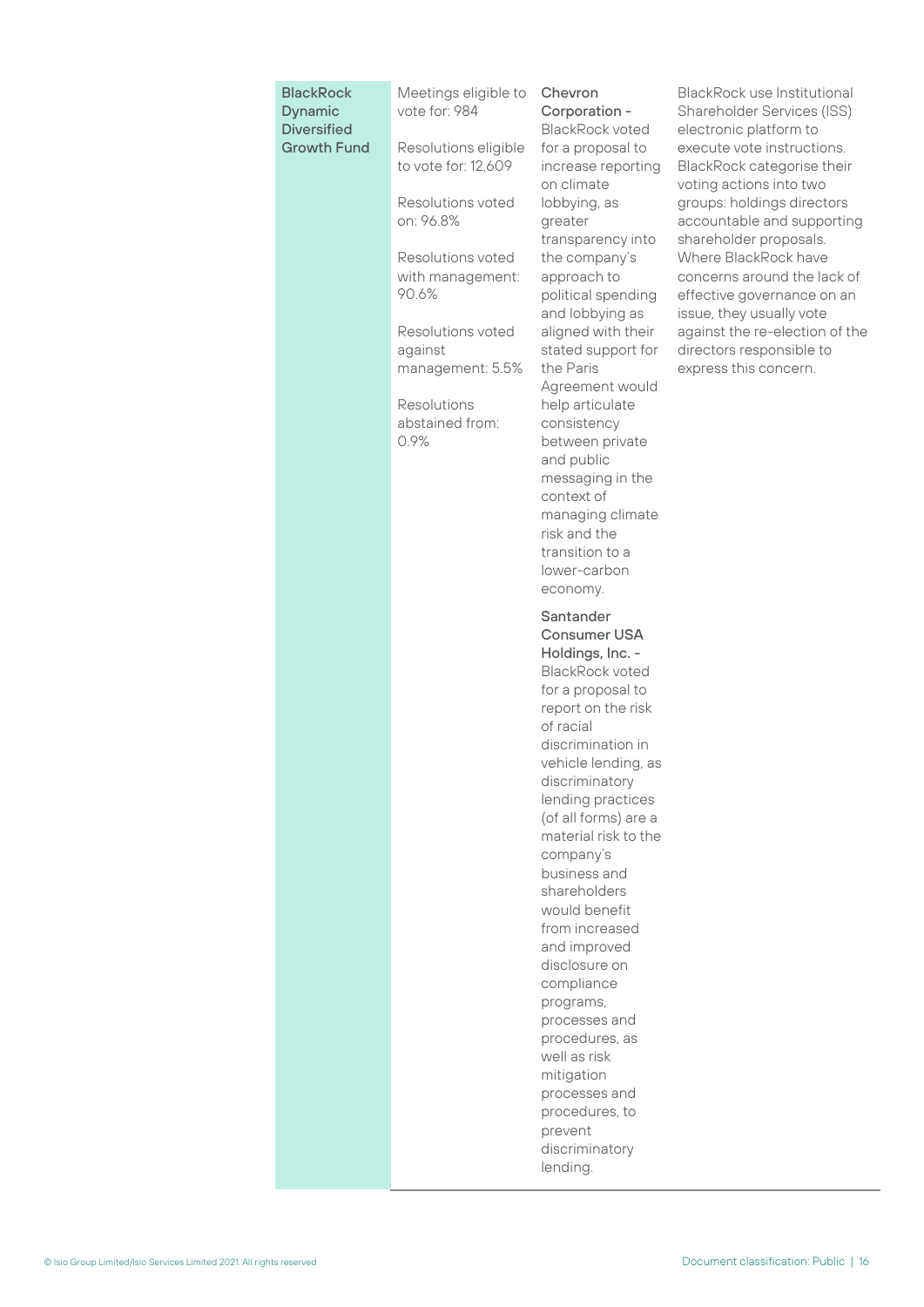| <b>BlackRock</b><br>Dynamic<br><b>Diversified</b><br><b>Growth Fund</b> | Meetings eligible to<br>vote for: 984<br>Resolutions eligible<br>to vote for: 12,609<br>Resolutions voted<br>on: 96.8%<br>Resolutions voted<br>with management:<br>90.6%<br>Resolutions voted<br>against<br>management: 5.5%<br><b>Resolutions</b><br>abstained from:<br>0.9% | Chevron<br>Corporation -<br><b>BlackRock voted</b><br>for a proposal to<br>increase reporting<br>on climate<br>lobbying, as<br>greater<br>transparency into<br>the company's<br>approach to<br>political spending<br>and lobbying as<br>aligned with their<br>stated support for<br>the Paris<br>Agreement would<br>help articulate<br>consistency<br>between private<br>and public<br>messaging in the<br>context of<br>managing climate<br>risk and the<br>transition to a<br>lower-carbon<br>economy.                                                           | <b>BlackRock use Institutional</b><br>Shareholder Services (ISS)<br>electronic platform to<br>execute vote instructions.<br>BlackRock categorise their<br>voting actions into two<br>groups: holdings directors<br>accountable and supporting<br>shareholder proposals.<br>Where BlackRock have<br>concerns around the lack of<br>effective governance on an<br>issue, they usually vote<br>against the re-election of the<br>directors responsible to<br>express this concern. |
|-------------------------------------------------------------------------|-------------------------------------------------------------------------------------------------------------------------------------------------------------------------------------------------------------------------------------------------------------------------------|--------------------------------------------------------------------------------------------------------------------------------------------------------------------------------------------------------------------------------------------------------------------------------------------------------------------------------------------------------------------------------------------------------------------------------------------------------------------------------------------------------------------------------------------------------------------|---------------------------------------------------------------------------------------------------------------------------------------------------------------------------------------------------------------------------------------------------------------------------------------------------------------------------------------------------------------------------------------------------------------------------------------------------------------------------------|
|                                                                         |                                                                                                                                                                                                                                                                               | Santander<br><b>Consumer USA</b><br>Holdings, Inc. -<br><b>BlackRock voted</b><br>for a proposal to<br>report on the risk<br>of racial<br>discrimination in<br>vehicle lending, as<br>discriminatory<br>lending practices<br>(of all forms) are a<br>material risk to the<br>company's<br>business and<br>shareholders<br>would benefit<br>from increased<br>and improved<br>disclosure on<br>compliance<br>programs,<br>processes and<br>procedures, as<br>well as risk<br>mitigation<br>processes and<br>procedures, to<br>prevent<br>discriminatory<br>lending. |                                                                                                                                                                                                                                                                                                                                                                                                                                                                                 |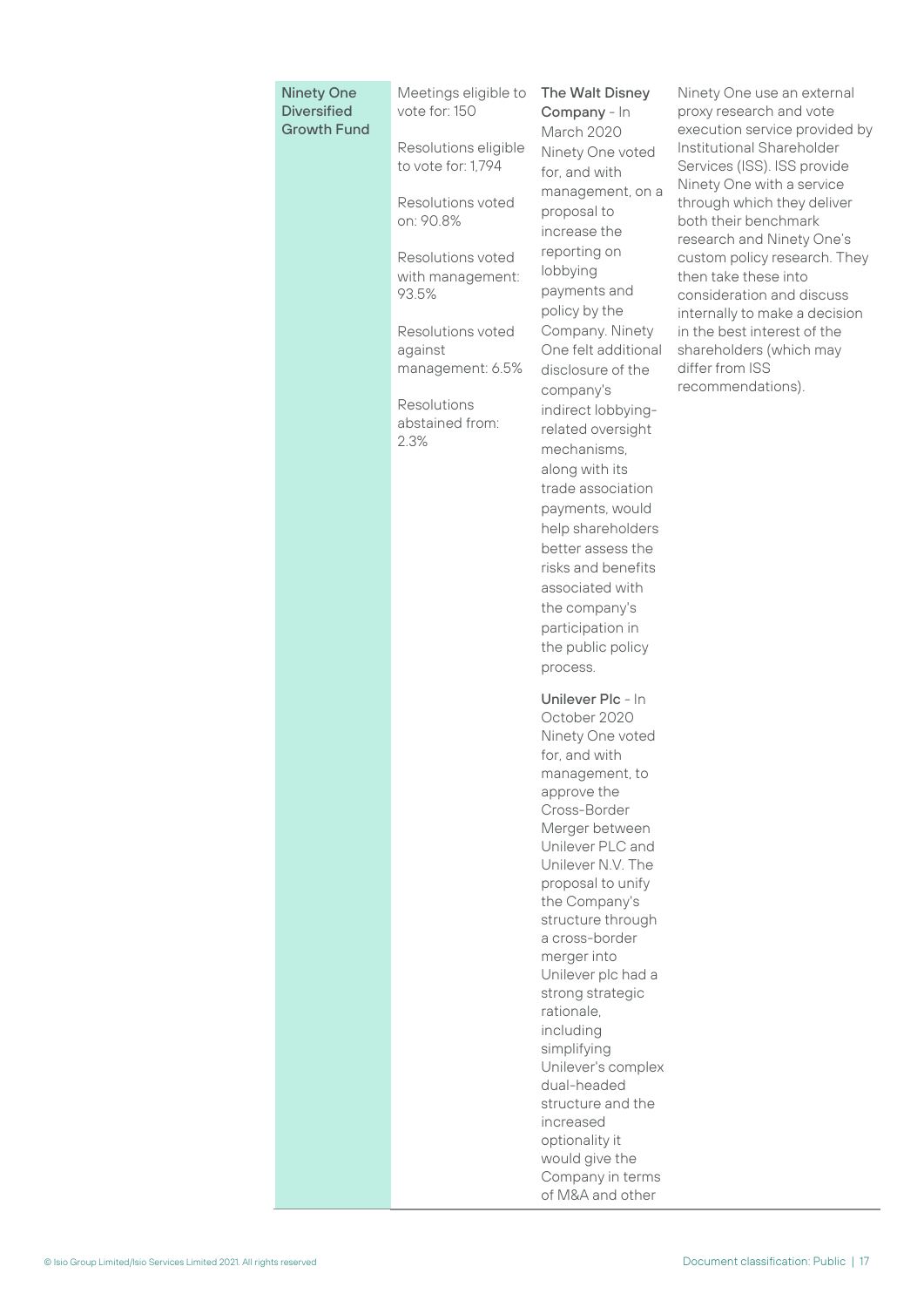| Ninety One                               | Meetings eligible to           | The Walt Disney                        | Ninety One use an external                                                                |
|------------------------------------------|--------------------------------|----------------------------------------|-------------------------------------------------------------------------------------------|
| <b>Diversified</b><br><b>Growth Fund</b> | vote for: 150                  | Company - In                           | proxy research and vote                                                                   |
|                                          | Resolutions eligible           | March 2020<br>Ninety One voted         | execution service provided by<br>Institutional Shareholder<br>Services (ISS). ISS provide |
|                                          | to vote for: 1,794             | for, and with                          |                                                                                           |
|                                          |                                | management, on a                       | Ninety One with a service                                                                 |
|                                          | Resolutions voted<br>on: 90.8% | proposal to                            | through which they deliver<br>both their benchmark                                        |
|                                          |                                | increase the                           | research and Ninety One's                                                                 |
|                                          | Resolutions voted              | reporting on                           | custom policy research. They                                                              |
|                                          | with management:               | lobbying<br>payments and               | then take these into<br>consideration and discuss                                         |
|                                          | 93.5%                          | policy by the                          | internally to make a decision                                                             |
|                                          | Resolutions voted              | Company. Ninety                        | in the best interest of the                                                               |
|                                          | against                        | One felt additional                    | shareholders (which may                                                                   |
|                                          | management: 6.5%               | disclosure of the                      | differ from ISS<br>recommendations).                                                      |
|                                          | Resolutions                    | company's<br>indirect lobbying-        |                                                                                           |
|                                          | abstained from:                | related oversight                      |                                                                                           |
|                                          | 2.3%                           | mechanisms,                            |                                                                                           |
|                                          |                                | along with its                         |                                                                                           |
|                                          |                                | trade association<br>payments, would   |                                                                                           |
|                                          |                                | help shareholders                      |                                                                                           |
|                                          |                                | better assess the                      |                                                                                           |
|                                          |                                | risks and benefits                     |                                                                                           |
|                                          |                                | associated with                        |                                                                                           |
|                                          |                                | the company's<br>participation in      |                                                                                           |
|                                          |                                | the public policy                      |                                                                                           |
|                                          |                                | process.                               |                                                                                           |
|                                          |                                | Unilever Plc - In                      |                                                                                           |
|                                          |                                | October 2020                           |                                                                                           |
|                                          |                                | Ninety One voted                       |                                                                                           |
|                                          |                                | for, and with<br>management, to        |                                                                                           |
|                                          |                                | approve the                            |                                                                                           |
|                                          |                                | Cross-Border                           |                                                                                           |
|                                          |                                | Merger between<br>Unilever PLC and     |                                                                                           |
|                                          |                                | Unilever N.V. The                      |                                                                                           |
|                                          |                                | proposal to unify                      |                                                                                           |
|                                          |                                | the Company's<br>structure through     |                                                                                           |
|                                          |                                | a cross-border                         |                                                                                           |
|                                          |                                | merger into                            |                                                                                           |
|                                          |                                | Unilever plc had a<br>strong strategic |                                                                                           |
|                                          |                                | rationale.                             |                                                                                           |
|                                          |                                | including                              |                                                                                           |
|                                          |                                | simplifying                            |                                                                                           |
|                                          |                                | Unilever's complex<br>dual-headed      |                                                                                           |
|                                          |                                | structure and the                      |                                                                                           |
|                                          |                                | increased                              |                                                                                           |
|                                          |                                | optionality it<br>would give the       |                                                                                           |
|                                          |                                | Company in terms                       |                                                                                           |
|                                          |                                | of M&A and other                       |                                                                                           |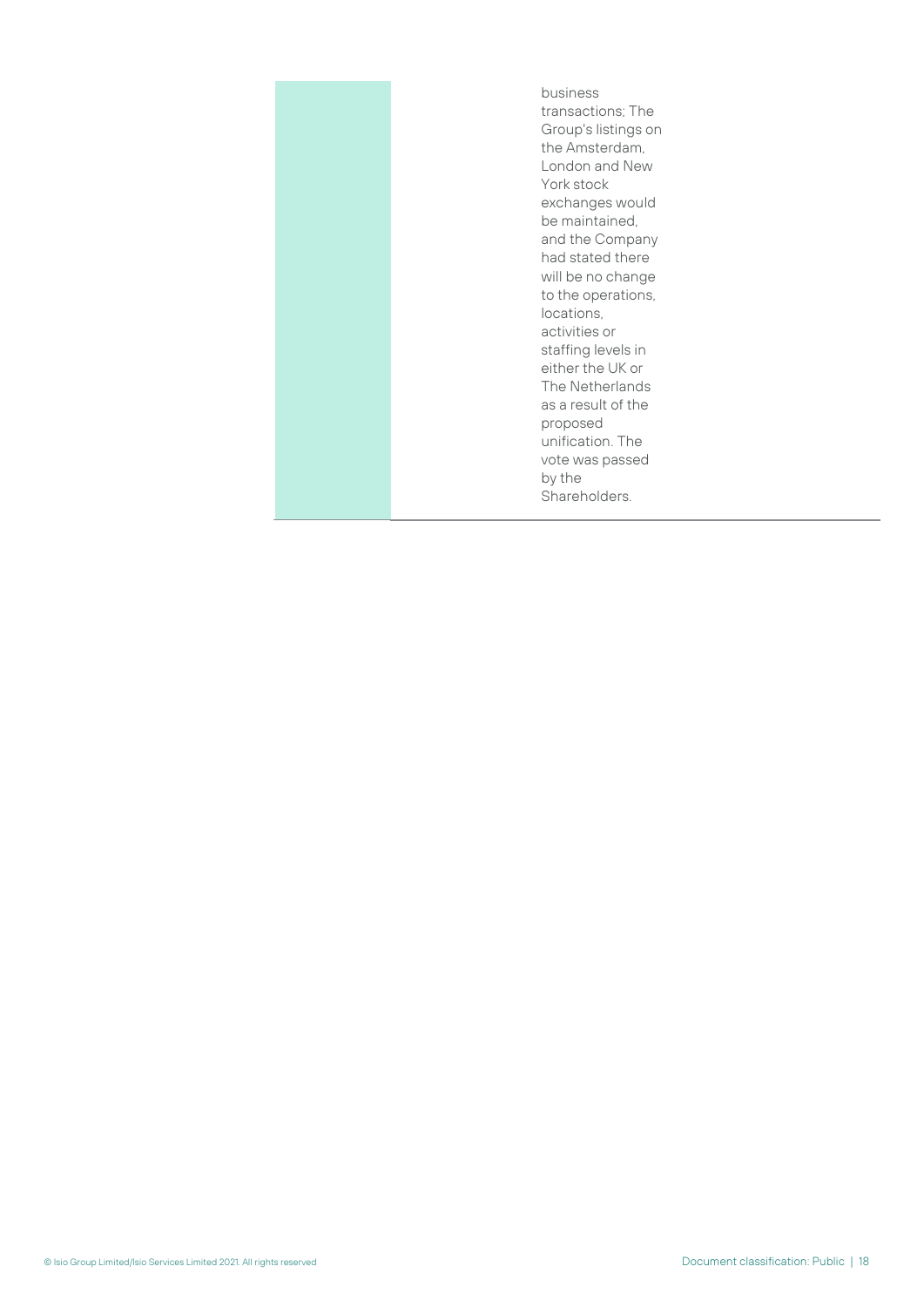business transactions; The Group's listings on the Amsterdam, London and New York stock exchanges would be maintained, and the Company had stated there will be no change to the operations, locations, activities or staffing levels in either the UK or The Netherlands as a result of the proposed unification. The vote was passed by the Shareholders.